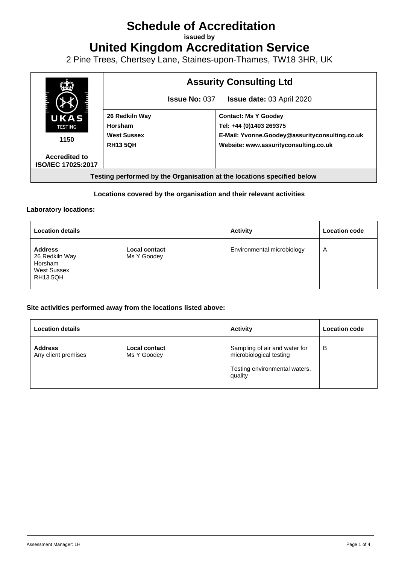# **Schedule of Accreditation**

**issued by**

**United Kingdom Accreditation Service**

2 Pine Trees, Chertsey Lane, Staines-upon-Thames, TW18 3HR, UK



### **Locations covered by the organisation and their relevant activities**

#### **Laboratory locations:**

| <b>Location details</b>                                                              |                                     | <b>Activity</b>            | <b>Location code</b> |
|--------------------------------------------------------------------------------------|-------------------------------------|----------------------------|----------------------|
| <b>Address</b><br>26 Redkiln Way<br>Horsham<br><b>West Sussex</b><br><b>RH13 5QH</b> | <b>Local contact</b><br>Ms Y Goodey | Environmental microbiology | A                    |

#### **Site activities performed away from the locations listed above:**

| <b>Location details</b>               |                                     | <b>Activity</b>                                                                                      | <b>Location code</b> |
|---------------------------------------|-------------------------------------|------------------------------------------------------------------------------------------------------|----------------------|
| <b>Address</b><br>Any client premises | <b>Local contact</b><br>Ms Y Goodey | Sampling of air and water for<br>microbiological testing<br>Testing environmental waters,<br>quality | в                    |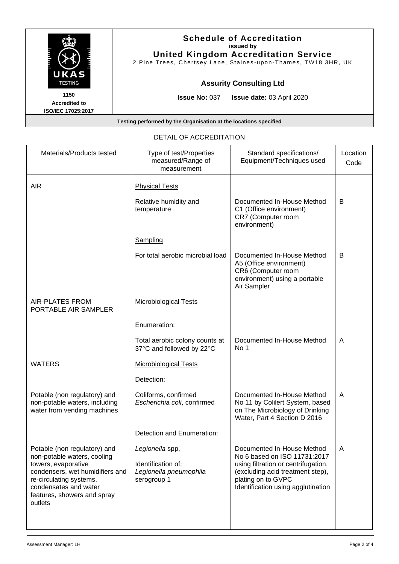|                                                                  | <b>Schedule of Accreditation</b><br>issued by<br><b>United Kingdom Accreditation Service</b><br>2 Pine Trees, Chertsey Lane, Staines-upon-Thames, TW18 3HR, UK |  |
|------------------------------------------------------------------|----------------------------------------------------------------------------------------------------------------------------------------------------------------|--|
| UKAS<br><b>TESTING</b>                                           | <b>Assurity Consulting Ltd</b>                                                                                                                                 |  |
| 1150<br><b>Accredited to</b><br><b>ISO/IEC 17025:2017</b>        | <b>Issue No: 037</b><br><b>Issue date: 03 April 2020</b>                                                                                                       |  |
| Testing performed by the Organisation at the locations specified |                                                                                                                                                                |  |

| Materials/Products tested                                                                                                                                                                                           | Type of test/Properties<br>measured/Range of<br>measurement                    | Standard specifications/<br>Equipment/Techniques used                                                                                                                                             | Location<br>Code |
|---------------------------------------------------------------------------------------------------------------------------------------------------------------------------------------------------------------------|--------------------------------------------------------------------------------|---------------------------------------------------------------------------------------------------------------------------------------------------------------------------------------------------|------------------|
| <b>AIR</b>                                                                                                                                                                                                          | <b>Physical Tests</b>                                                          |                                                                                                                                                                                                   |                  |
|                                                                                                                                                                                                                     | Relative humidity and<br>temperature                                           | Documented In-House Method<br>C1 (Office environment)<br>CR7 (Computer room<br>environment)                                                                                                       | B                |
|                                                                                                                                                                                                                     | Sampling                                                                       |                                                                                                                                                                                                   |                  |
|                                                                                                                                                                                                                     | For total aerobic microbial load                                               | Documented In-House Method<br>A5 (Office environment)<br>CR6 (Computer room<br>environment) using a portable<br>Air Sampler                                                                       | B                |
| <b>AIR-PLATES FROM</b><br>PORTABLE AIR SAMPLER                                                                                                                                                                      | <b>Microbiological Tests</b>                                                   |                                                                                                                                                                                                   |                  |
|                                                                                                                                                                                                                     | Enumeration:                                                                   |                                                                                                                                                                                                   |                  |
|                                                                                                                                                                                                                     | Total aerobic colony counts at<br>37°C and followed by 22°C                    | Documented In-House Method<br>No 1                                                                                                                                                                | A                |
| <b>WATERS</b>                                                                                                                                                                                                       | <b>Microbiological Tests</b>                                                   |                                                                                                                                                                                                   |                  |
|                                                                                                                                                                                                                     | Detection:                                                                     |                                                                                                                                                                                                   |                  |
| Potable (non regulatory) and<br>non-potable waters, including<br>water from vending machines                                                                                                                        | Coliforms, confirmed<br>Escherichia coli, confirmed                            | Documented In-House Method<br>No 11 by Colilert System, based<br>on The Microbiology of Drinking<br>Water, Part 4 Section D 2016                                                                  | A                |
|                                                                                                                                                                                                                     | Detection and Enumeration:                                                     |                                                                                                                                                                                                   |                  |
| Potable (non regulatory) and<br>non-potable waters, cooling<br>towers, evaporative<br>condensers, wet humidifiers and<br>re-circulating systems,<br>condensates and water<br>features, showers and spray<br>outlets | Legionella spp,<br>Identification of:<br>Legionella pneumophila<br>serogroup 1 | Documented In-House Method<br>No 6 based on ISO 11731:2017<br>using filtration or centrifugation,<br>(excluding acid treatment step),<br>plating on to GVPC<br>Identification using agglutination | A                |
|                                                                                                                                                                                                                     |                                                                                |                                                                                                                                                                                                   |                  |

## DETAIL OF ACCREDITATION

┬

⊤

٦

П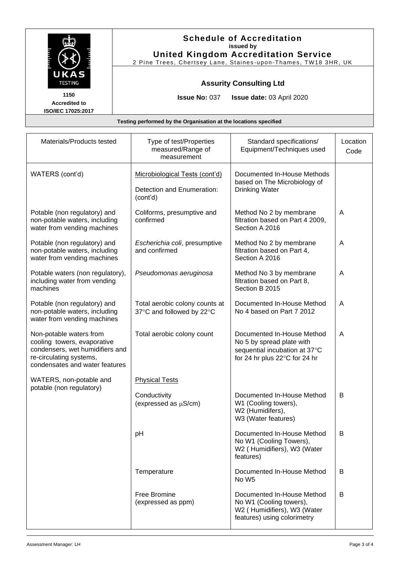| UKAS                                                             |                                                             | <b>Schedule of Accreditation</b><br>issued by<br><b>United Kingdom Accreditation Service</b><br>2 Pine Trees, Chertsey Lane, Staines-upon-Thames, TW18 3HR, UK |                  |  |
|------------------------------------------------------------------|-------------------------------------------------------------|----------------------------------------------------------------------------------------------------------------------------------------------------------------|------------------|--|
| <b>TESTING</b>                                                   | <b>Assurity Consulting Ltd</b>                              |                                                                                                                                                                |                  |  |
| 1150<br><b>Accredited to</b><br><b>ISO/IEC 17025:2017</b>        | <b>Issue No: 037</b>                                        | <b>Issue date: 03 April 2020</b>                                                                                                                               |                  |  |
| Testing performed by the Organisation at the locations specified |                                                             |                                                                                                                                                                |                  |  |
| Materials/Products tested                                        | Type of test/Properties<br>measured/Range of<br>measurement | Standard specifications/<br>Equipment/Techniques used                                                                                                          | Location<br>Code |  |

|                                                                                                                                                        | $\frac{1}{2}$<br>measured/Range of<br>measurement           | anaara opoomoanono<br>Equipment/Techniques used                                                                           | Code |
|--------------------------------------------------------------------------------------------------------------------------------------------------------|-------------------------------------------------------------|---------------------------------------------------------------------------------------------------------------------------|------|
| WATERS (cont'd)                                                                                                                                        | Microbiological Tests (cont'd)                              | Documented In-House Methods<br>based on The Microbiology of<br><b>Drinking Water</b>                                      |      |
|                                                                                                                                                        | Detection and Enumeration:<br>(cont'd)                      |                                                                                                                           |      |
| Potable (non regulatory) and<br>non-potable waters, including<br>water from vending machines                                                           | Coliforms, presumptive and<br>confirmed                     | Method No 2 by membrane<br>filtration based on Part 4 2009,<br>Section A 2016                                             | A    |
| Potable (non regulatory) and<br>non-potable waters, including<br>water from vending machines                                                           | Escherichia coli, presumptive<br>and confirmed              | Method No 2 by membrane<br>filtration based on Part 4,<br>Section A 2016                                                  | A    |
| Potable waters (non regulatory),<br>including water from vending<br>machines                                                                           | Pseudomonas aeruginosa                                      | Method No 3 by membrane<br>filtration based on Part 8,<br>Section B 2015                                                  | A    |
| Potable (non regulatory) and<br>non-potable waters, including<br>water from vending machines                                                           | Total aerobic colony counts at<br>37°C and followed by 22°C | Documented In-House Method<br>No 4 based on Part 7 2012                                                                   | A    |
| Non-potable waters from<br>cooling towers, evaporative<br>condensers, wet humidifiers and<br>re-circulating systems,<br>condensates and water features | Total aerobic colony count                                  | Documented In-House Method<br>No 5 by spread plate with<br>sequential incubation at 37°C<br>for 24 hr plus 22°C for 24 hr | A    |
| WATERS, non-potable and<br>potable (non regulatory)                                                                                                    | <b>Physical Tests</b>                                       |                                                                                                                           |      |
|                                                                                                                                                        | Conductivity<br>(expressed as µS/cm)                        | Documented In-House Method<br>W1 (Cooling towers),<br>W2 (Humidifers),<br>W3 (Water features)                             | B    |
|                                                                                                                                                        | pH                                                          | Documented In-House Method<br>No W1 (Cooling Towers),<br>W2 (Humidifiers), W3 (Water<br>features)                         | B    |
|                                                                                                                                                        | Temperature                                                 | Documented In-House Method<br>No W <sub>5</sub>                                                                           | B    |
|                                                                                                                                                        | Free Bromine<br>(expressed as ppm)                          | Documented In-House Method<br>No W1 (Cooling towers),<br>W2 (Humidifiers), W3 (Water<br>features) using colorimetry       | B    |